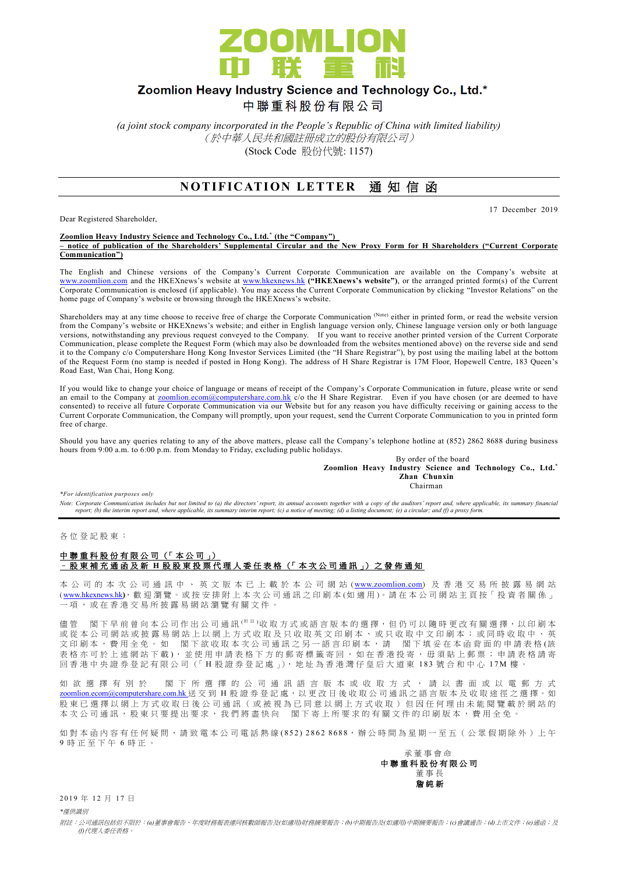

# Zoomlion Heavy Industry Science and Technology Co., Ltd.\*

中聯重科股份有限公司

*(a joint stock company incorporated in the People's Republic of China with limited liability)* (於中華人民共和國註冊成立的股份有限公司) (Stock Code 股份代號: 1157)

## **NOTIFICATION LETTER 通知信函**

Dear Registered Shareholder,

17 December 2019

#### **Zoomlion Heavy Industry Science and Technology Co., Ltd. \* (the "Company") – notice of publication of the Shareholders' Supplemental Circular and the New Proxy Form for H Shareholders ("Current Corporate Communication")**

The English and Chinese versions of the Company's Current Corporate Communication are available on the Company's website at [www.zoomlion.com](http://www.zoomlion.com/) and the HKEXnews's website at [www.hkexnews.hk](http://www.hkexnews.hk/) **("HKEXnews's website")**, or the arranged printed form(s) of the Current Corporate Communication is enclosed (if applicable). You may access the Current Corporate Communication by clicking "Investor Relations" on the home page of Company's website or browsing through the HKEXnews's website.

Shareholders may at any time choose to receive free of charge the Corporate Communication (Note) either in printed form, or read the website version from the Company's website or HKEXnews's website; and either in English language version only, Chinese language version only or both language versions, notwithstanding any previous request conveyed to the Company. If you want to receive another printed version of the Current Corporate Communication, please complete the Request Form (which may also be downloaded from the websites mentioned above) on the reverse side and send it to the Company c/o Computershare Hong Kong Investor Services Limited (the "H Share Registrar"), by post using the mailing label at the bottom of the Request Form (no stamp is needed if posted in Hong Kong). The address of H Share Registrar is 17M Floor, Hopewell Centre, 183 Queen's Road East, Wan Chai, Hong Kong.

If you would like to change your choice of language or means of receipt of the Company's Corporate Communication in future, please write or send an email to the Company at [zoomlion.ecom@computershare.com.hk](file://///oceania/hongkong/Data/G13GROUP/Project/Zoomlion/eComm/eComm%202013%20Annual/zoomlion.ecom@computershare.com.hk) c/o the H Share Registrar. Even if you have chosen (or are deemed to have consented) to receive all future Corporate Communication via our Website but for any reason you have difficulty receiving or gaining access to the Current Corporate Communication, the Company will promptly, upon your request, send the Current Corporate Communication to you in printed form free of charge.

Should you have any queries relating to any of the above matters, please call the Company's telephone hotline at (852) 2862 8688 during business hours from 9:00 a.m. to 6:00 p.m. from Monday to Friday, excluding public holidays.

By order of the board **Zoomlion Heavy Industry Science and Technology Co., Ltd.\* Zhan Chunxin** Chairman

*\*For identification purposes only* 

*Note: Corporate Communication includes but not limited to (a) the directors' report, its annual accounts together with a copy of the auditors' report and, where applicable, its summary financial report; (b) the interim report and, where applicable, its summary interim report; (c) a notice of meeting; (d) a listing document; (e) a circular; and (f) a proxy form.*

各 位 登 記 股 東 :

### 中聯重科股份有限公司 (「本公司」) – 股 東 補 充 通 函 及 新 **H** 股股東投票代理人委任表格 (「 本 次 公司通訊 」) 之 發 佈 通 知

本 公 司 的 本 次 公 司 通 訊 中 、 英 文 版 本 已 上 載 於 本 公 司 網 站 ([www.zoomlion.com](http://www.zoomlion.com/)) 及 香 港 交 易 所 披 露 易 網 站 ( [www.hkexnews.hk](http://www.hkexnews.hk/)**)**, 歡 迎 瀏 覽 。或 按 安 排 附 上 本 次 公 司 通 訊 之印刷本 (如適用 )。 請 在 本 公 司 網 站 主 頁 按「 投 資 者 關 係 」 一項, 或 在 香 港 交 易 所 披 露 易 網 站 瀏 覽 有 關 文 件 。

儘管 閣下 早 前 曾 向 本 公 司 作 出 公 司 通 訊 <sup>( 附 註</sup> )收 取 方 式 或 語 言 版 本 的 選 擇, 但 仍 可 以 隨 時 更 改 有 關 選 擇, 以 印 刷 本 或從本公司網站或披露易網站上以網上方式收取及只收取英文印刷本、或只收取中文印刷本;或同時收取中、英 文印刷本,費用全免。如 閣下欲收取本次公司通訊之另一語言印刷本,請 閣下填妥在本函背面的申請表格(該 表格亦可於上述網站下載), 並使用申請表格下方的郵寄標籤寄回, 如在香港投寄, 毋須貼上郵票; 申請表格請寄 回香港中央證券登記有限公司(「H股證券登記處」), 地址為香港灣仔皇后大道東 183號合和中心 17M 樓

如 欲 選 擇 有 別 於 閣 下 所 選 擇 的 公 司 通 訊 語 言 版 本 或 收 取 方 式 , 請 以 書 面 或 以 電 郵 方 式 [zoomlion.ecom@computershare.com.hk](mailto:zoomlion.ecom@computershare.com.hk) 送 交 到 H 股 證 券 登 記 處, 以 更 改 日 後 收 取 公 司 通 訊 之 語 言 版 本 及 收 取 途 徑 之 選 擇 。 如 股 東 已 選 擇 以 網 上 方 式 收 取 日 後 公 司 通 訊 ( 或 被 視 為 已 同 意 以 網 上 方 式 收 取 ) 但 因 任 何 理 由 未 能 閲 覽 載 於 網 站 的 本次公司通訊,股東只要提出要求,我們將盡快向 閣下寄上所要求的有關文件的印刷版本,費用全免。

如對本函內容有任何疑問,請致電本公司電話熱線(852) 2862 8688,辦公時間為星期一至五 (公眾假期除外)上午 9 時正至下午 6 時 正 。

承董事會命 中 聯 重 科 股 份 有 限 公 司 董事長 詹 純 新

2019年12月17日

*\**僅供識別

附註:公司通訊包括但不限於:*(a)*董事會報告、年度財務報表連同核數師報告及*(*如適用*)*財務摘要報告;*(b)*中期報告及*(*如適用*)*中期摘要報告;*(c)*會議通告;*(d)*上市文件;*(e)*通函;及 *(f)*代理人委任表格。